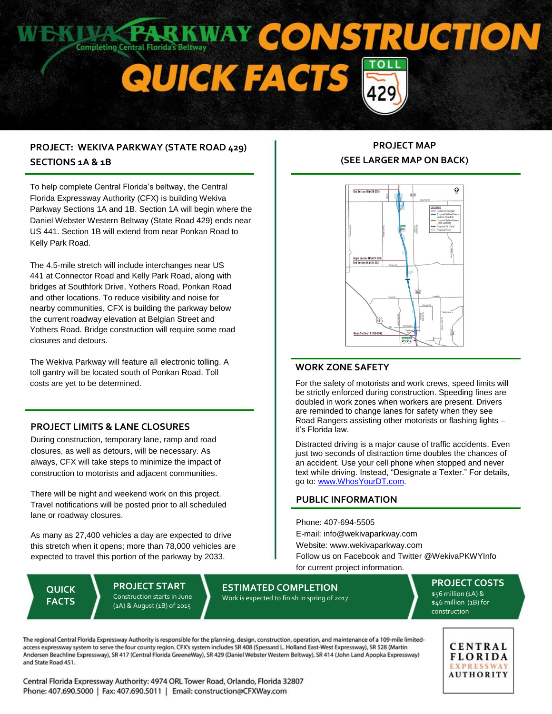

## **PROJECT: WEKIVA PARKWAY (STATE ROAD 429) SECTIONS 1A & 1B**

To help complete Central Florida's beltway, the Central Florida Expressway Authority (CFX) is building Wekiva Parkway Sections 1A and 1B. Section 1A will begin where the Daniel Webster Western Beltway (State Road 429) ends near US 441. Section 1B will extend from near Ponkan Road to Kelly Park Road.

The 4.5-mile stretch will include interchanges near US 441 at Connector Road and Kelly Park Road, along with bridges at Southfork Drive, Yothers Road, Ponkan Road and other locations. To reduce visibility and noise for nearby communities, CFX is building the parkway below the current roadway elevation at Belgian Street and Yothers Road. Bridge construction will require some road closures and detours.

The Wekiva Parkway will feature all electronic tolling. A toll gantry will be located south of Ponkan Road. Toll costs are yet to be determined.

#### **PROJECT LIMITS & LANE CLOSURES**

During construction, temporary lane, ramp and road closures, as well as detours, will be necessary. As always, CFX will take steps to minimize the impact of construction to motorists and adjacent communities.

There will be night and weekend work on this project. Travel notifications will be posted prior to all scheduled lane or roadway closures.

As many as 27,400 vehicles a day are expected to drive this stretch when it opens; more than 78,000 vehicles are expected to travel this portion of the parkway by 2033.

**QUICK FACTS**

**PROJECT START** Construction starts in June (1A) & August (1B) of 2015

# **PROJECT MAP (SEE LARGER MAP ON BACK)**



### **WORK ZONE SAFETY**

For the safety of motorists and work crews, speed limits will be strictly enforced during construction. Speeding fines are doubled in work zones when workers are present. Drivers are reminded to change lanes for safety when they see Road Rangers assisting other motorists or flashing lights – it's Florida law.

Distracted driving is a major cause of traffic accidents. Even just two seconds of distraction time doubles the chances of an accident. Use your cell phone when stopped and never text while driving. Instead, "Designate a Texter." For details, go to[: www.WhosYourDT.com.](http://www.whosyourdt.com/)

#### **PUBLIC INFORMATION**

Phone: 407-694-5505 E-mail: info@wekivaparkway.com Website: www.wekivaparkway.com Follow us on Facebook and Twitter @WekivaPKWYInfo for current project information.

**ESTIMATED COMPLETION**

Work is expected to finish in spring of 2017.

**PROJECT COSTS**  $$56$  million (1A) & \$46 million (1B) for construction

The regional Central Florida Expressway Authority is responsible for the planning, design, construction, operation, and maintenance of a 109-mile limitedaccess expressway system to serve the four county region. CFX's system includes SR 408 (Spessard L. Holland East-West Expressway), SR 528 (Martin Andersen Beachline Expressway), SR 417 (Central Florida GreeneWay), SR 429 (Daniel Webster Western Beltway), SR 414 (John Land Apopka Expressway) and State Road 451.

Central Florida Expressway Authority: 4974 ORL Tower Road, Orlando, Florida 32807 Phone: 407.690.5000 | Fax: 407.690.5011 | Email: construction@CFXWay.com